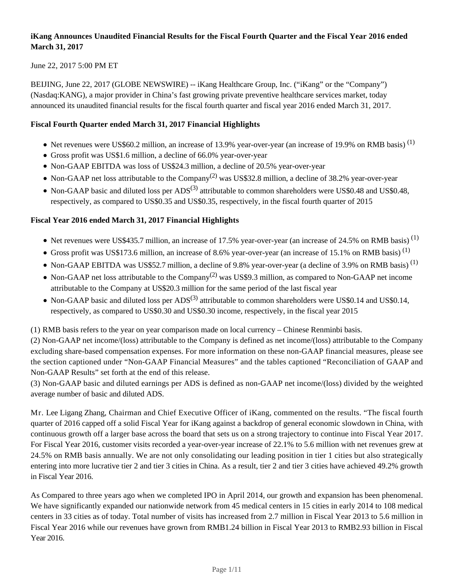## **iKang Announces Unaudited Financial Results for the Fiscal Fourth Quarter and the Fiscal Year 2016 ended March 31, 2017**

June 22, 2017 5:00 PM ET

BEIJING, June 22, 2017 (GLOBE NEWSWIRE) -- iKang Healthcare Group, Inc. ("iKang" or the "Company") (Nasdaq:KANG), a major provider in China's fast growing private preventive healthcare services market, today announced its unaudited financial results for the fiscal fourth quarter and fiscal year 2016 ended March 31, 2017.

## **Fiscal Fourth Quarter ended March 31, 2017 Financial Highlights**

- Net revenues were US\$60.2 million, an increase of 13.9% year-over-year (an increase of 19.9% on RMB basis)  $^{(1)}$
- Gross profit was US\$1.6 million, a decline of 66.0% year-over-year
- Non-GAAP EBITDA was loss of US\$24.3 million, a decline of 20.5% year-over-year
- Non-GAAP net loss attributable to the Company<sup>(2)</sup> was US\$32.8 million, a decline of 38.2% year-over-year
- Non-GAAP basic and diluted loss per  $ADS^{(3)}$  attributable to common shareholders were US\$0.48 and US\$0.48, respectively, as compared to US\$0.35 and US\$0.35, respectively, in the fiscal fourth quarter of 2015

## **Fiscal Year 2016 ended March 31, 2017 Financial Highlights**

- Net revenues were US\$435.7 million, an increase of 17.5% year-over-year (an increase of 24.5% on RMB basis)<sup>(1)</sup>
- Gross profit was US\$173.6 million, an increase of 8.6% year-over-year (an increase of 15.1% on RMB basis)<sup>(1)</sup>
- Non-GAAP EBITDA was US\$52.7 million, a decline of 9.8% year-over-year (a decline of 3.9% on RMB basis)<sup>(1)</sup>
- Non-GAAP net loss attributable to the Company<sup>(2)</sup> was US\$9.3 million, as compared to Non-GAAP net income attributable to the Company at US\$20.3 million for the same period of the last fiscal year
- Non-GAAP basic and diluted loss per  $ADS^{(3)}$  attributable to common shareholders were US\$0.14 and US\$0.14, respectively, as compared to US\$0.30 and US\$0.30 income, respectively, in the fiscal year 2015

(1) RMB basis refers to the year on year comparison made on local currency – Chinese Renminbi basis.

(2) Non-GAAP net income/(loss) attributable to the Company is defined as net income/(loss) attributable to the Company excluding share-based compensation expenses. For more information on these non-GAAP financial measures, please see the section captioned under "Non-GAAP Financial Measures" and the tables captioned "Reconciliation of GAAP and Non-GAAP Results" set forth at the end of this release.

(3) Non-GAAP basic and diluted earnings per ADS is defined as non-GAAP net income/(loss) divided by the weighted average number of basic and diluted ADS.

Mr. Lee Ligang Zhang, Chairman and Chief Executive Officer of iKang, commented on the results. "The fiscal fourth quarter of 2016 capped off a solid Fiscal Year for iKang against a backdrop of general economic slowdown in China, with continuous growth off a larger base across the board that sets us on a strong trajectory to continue into Fiscal Year 2017. For Fiscal Year 2016, customer visits recorded a year-over-year increase of 22.1% to 5.6 million with net revenues grew at 24.5% on RMB basis annually. We are not only consolidating our leading position in tier 1 cities but also strategically entering into more lucrative tier 2 and tier 3 cities in China. As a result, tier 2 and tier 3 cities have achieved 49.2% growth in Fiscal Year 2016.

As Compared to three years ago when we completed IPO in April 2014, our growth and expansion has been phenomenal. We have significantly expanded our nationwide network from 45 medical centers in 15 cities in early 2014 to 108 medical centers in 33 cities as of today. Total number of visits has increased from 2.7 million in Fiscal Year 2013 to 5.6 million in Fiscal Year 2016 while our revenues have grown from RMB1.24 billion in Fiscal Year 2013 to RMB2.93 billion in Fiscal Year 2016.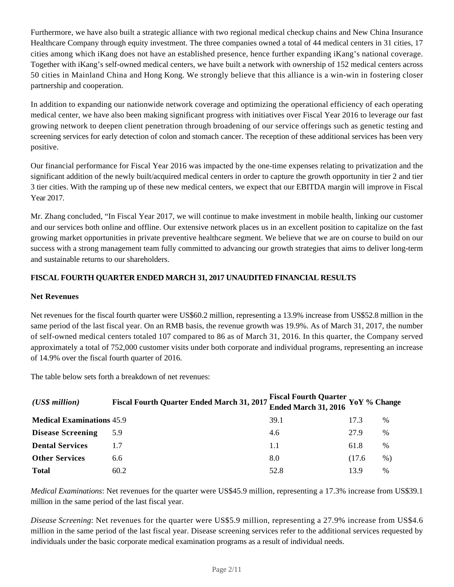Furthermore, we have also built a strategic alliance with two regional medical checkup chains and New China Insurance Healthcare Company through equity investment. The three companies owned a total of 44 medical centers in 31 cities, 17 cities among which iKang does not have an established presence, hence further expanding iKang's national coverage. Together with iKang's self-owned medical centers, we have built a network with ownership of 152 medical centers across 50 cities in Mainland China and Hong Kong. We strongly believe that this alliance is a win-win in fostering closer partnership and cooperation.

In addition to expanding our nationwide network coverage and optimizing the operational efficiency of each operating medical center, we have also been making significant progress with initiatives over Fiscal Year 2016 to leverage our fast growing network to deepen client penetration through broadening of our service offerings such as genetic testing and screening services for early detection of colon and stomach cancer. The reception of these additional services has been very positive.

Our financial performance for Fiscal Year 2016 was impacted by the one-time expenses relating to privatization and the significant addition of the newly built/acquired medical centers in order to capture the growth opportunity in tier 2 and tier 3 tier cities. With the ramping up of these new medical centers, we expect that our EBITDA margin will improve in Fiscal Year 2017.

Mr. Zhang concluded, "In Fiscal Year 2017, we will continue to make investment in mobile health, linking our customer and our services both online and offline. Our extensive network places us in an excellent position to capitalize on the fast growing market opportunities in private preventive healthcare segment. We believe that we are on course to build on our success with a strong management team fully committed to advancing our growth strategies that aims to deliver long-term and sustainable returns to our shareholders.

## **FISCAL FOURTH QUARTER ENDED MARCH 31, 2017 UNAUDITED FINANCIAL RESULTS**

### **Net Revenues**

Net revenues for the fiscal fourth quarter were US\$60.2 million, representing a 13.9% increase from US\$52.8 million in the same period of the last fiscal year. On an RMB basis, the revenue growth was 19.9%. As of March 31, 2017, the number of self-owned medical centers totaled 107 compared to 86 as of March 31, 2016. In this quarter, the Company served approximately a total of 752,000 customer visits under both corporate and individual programs, representing an increase of 14.9% over the fiscal fourth quarter of 2016.

The table below sets forth a breakdown of net revenues:

| $(US\$ s million                 | Fiscal Fourth Quarter Ended March 31, 2017 Fiscal Fourth Quarter YoY % Change |      |        |               |
|----------------------------------|-------------------------------------------------------------------------------|------|--------|---------------|
| <b>Medical Examinations 45.9</b> |                                                                               | 39.1 | 17.3   | $\%$          |
| <b>Disease Screening</b>         | 5.9                                                                           | 4.6  | 27.9   | $\%$          |
| <b>Dental Services</b>           |                                                                               | 1.1  | 61.8   | %             |
| <b>Other Services</b>            | 6.6                                                                           | 8.0  | (17.6) | $%$ )         |
| <b>Total</b>                     | 60.2                                                                          | 52.8 | 13.9   | $\frac{0}{0}$ |

*Medical Examinations*: Net revenues for the quarter were US\$45.9 million, representing a 17.3% increase from US\$39.1 million in the same period of the last fiscal year.

*Disease Screening*: Net revenues for the quarter were US\$5.9 million, representing a 27.9% increase from US\$4.6 million in the same period of the last fiscal year. Disease screening services refer to the additional services requested by individuals under the basic corporate medical examination programs as a result of individual needs.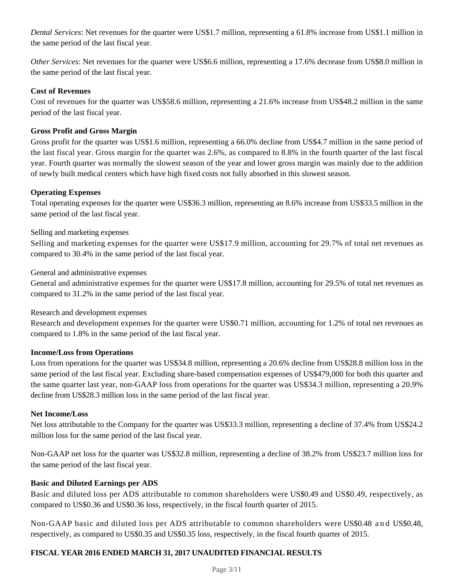*Dental Services*: Net revenues for the quarter were US\$1.7 million, representing a 61.8% increase from US\$1.1 million in the same period of the last fiscal year.

*Other Services*: Net revenues for the quarter were US\$6.6 million, representing a 17.6% decrease from US\$8.0 million in the same period of the last fiscal year.

#### **Cost of Revenues**

Cost of revenues for the quarter was US\$58.6 million, representing a 21.6% increase from US\$48.2 million in the same period of the last fiscal year.

#### **Gross Profit and Gross Margin**

Gross profit for the quarter was US\$1.6 million, representing a 66.0% decline from US\$4.7 million in the same period of the last fiscal year. Gross margin for the quarter was 2.6%, as compared to 8.8% in the fourth quarter of the last fiscal year. Fourth quarter was normally the slowest season of the year and lower gross margin was mainly due to the addition of newly built medical centers which have high fixed costs not fully absorbed in this slowest season.

#### **Operating Expenses**

Total operating expenses for the quarter were US\$36.3 million, representing an 8.6% increase from US\$33.5 million in the same period of the last fiscal year.

#### Selling and marketing expenses

Selling and marketing expenses for the quarter were US\$17.9 million, accounting for 29.7% of total net revenues as compared to 30.4% in the same period of the last fiscal year.

#### General and administrative expenses

General and administrative expenses for the quarter were US\$17.8 million, accounting for 29.5% of total net revenues as compared to 31.2% in the same period of the last fiscal year.

#### Research and development expenses

Research and development expenses for the quarter were US\$0.71 million, accounting for 1.2% of total net revenues as compared to 1.8% in the same period of the last fiscal year.

#### **Income/Loss from Operations**

Loss from operations for the quarter was US\$34.8 million, representing a 20.6% decline from US\$28.8 million loss in the same period of the last fiscal year. Excluding share-based compensation expenses of US\$479,000 for both this quarter and the same quarter last year, non-GAAP loss from operations for the quarter was US\$34.3 million, representing a 20.9% decline from US\$28.3 million loss in the same period of the last fiscal year.

#### **Net Income/Loss**

Net loss attributable to the Company for the quarter was US\$33.3 million, representing a decline of 37.4% from US\$24.2 million loss for the same period of the last fiscal year.

Non-GAAP net loss for the quarter was US\$32.8 million, representing a decline of 38.2% from US\$23.7 million loss for the same period of the last fiscal year.

#### **Basic and Diluted Earnings per ADS**

Basic and diluted loss per ADS attributable to common shareholders were US\$0.49 and US\$0.49, respectively, as compared to US\$0.36 and US\$0.36 loss, respectively, in the fiscal fourth quarter of 2015.

Non-GAAP basic and diluted loss per ADS attributable to common shareholders were US\$0.48 and US\$0.48, respectively, as compared to US\$0.35 and US\$0.35 loss, respectively, in the fiscal fourth quarter of 2015.

## **FISCAL YEAR 2016 ENDED MARCH 31, 2017 UNAUDITED FINANCIAL RESULTS**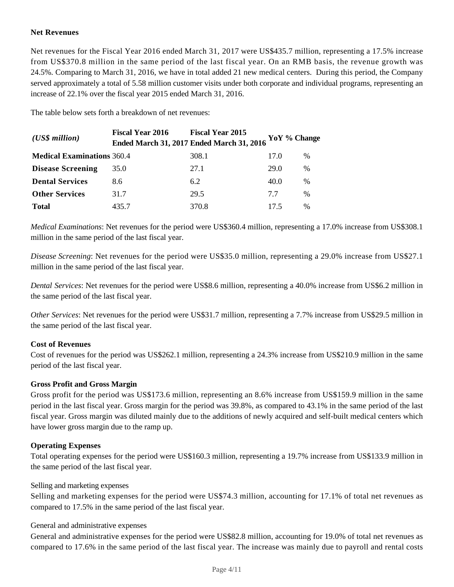## **Net Revenues**

Net revenues for the Fiscal Year 2016 ended March 31, 2017 were US\$435.7 million, representing a 17.5% increase from US\$370.8 million in the same period of the last fiscal year. On an RMB basis, the revenue growth was 24.5%*.* Comparing to March 31, 2016, we have in total added 21 new medical centers. During this period, the Company served approximately a total of 5.58 million customer visits under both corporate and individual programs, representing an increase of 22.1% over the fiscal year 2015 ended March 31, 2016.

The table below sets forth a breakdown of net revenues:

| $(US\$ s million                  | <b>Fiscal Year 2016</b> | <b>Fiscal Year 2015</b><br><b>Ended March 31, 2017 Ended March 31, 2016</b> | YoY % Change |               |
|-----------------------------------|-------------------------|-----------------------------------------------------------------------------|--------------|---------------|
| <b>Medical Examinations 360.4</b> |                         | 308.1                                                                       | 17.0         | %             |
| <b>Disease Screening</b>          | 35.0                    | 27.1                                                                        | 29.0         | $\frac{0}{0}$ |
| <b>Dental Services</b>            | 8.6                     | 6.2                                                                         | 40.0         | $\frac{0}{0}$ |
| <b>Other Services</b>             | 31.7                    | 29.5                                                                        | 77           | %             |
| <b>Total</b>                      | 435.7                   | 370.8                                                                       | 17.5         | $\%$          |

*Medical Examinations*: Net revenues for the period were US\$360.4 million, representing a 17.0% increase from US\$308.1 million in the same period of the last fiscal year.

*Disease Screening*: Net revenues for the period were US\$35.0 million, representing a 29.0% increase from US\$27.1 million in the same period of the last fiscal year.

*Dental Services*: Net revenues for the period were US\$8.6 million, representing a 40.0% increase from US\$6.2 million in the same period of the last fiscal year.

*Other Services*: Net revenues for the period were US\$31.7 million, representing a 7.7% increase from US\$29.5 million in the same period of the last fiscal year.

## **Cost of Revenues**

Cost of revenues for the period was US\$262.1 million, representing a 24.3% increase from US\$210.9 million in the same period of the last fiscal year.

#### **Gross Profit and Gross Margin**

Gross profit for the period was US\$173.6 million, representing an 8.6% increase from US\$159.9 million in the same period in the last fiscal year. Gross margin for the period was 39.8%, as compared to 43.1% in the same period of the last fiscal year. Gross margin was diluted mainly due to the additions of newly acquired and self-built medical centers which have lower gross margin due to the ramp up.

## **Operating Expenses**

Total operating expenses for the period were US\$160.3 million, representing a 19.7% increase from US\$133.9 million in the same period of the last fiscal year.

#### Selling and marketing expenses

Selling and marketing expenses for the period were US\$74.3 million, accounting for 17.1% of total net revenues as compared to 17.5% in the same period of the last fiscal year.

#### General and administrative expenses

General and administrative expenses for the period were US\$82.8 million, accounting for 19.0% of total net revenues as compared to 17.6% in the same period of the last fiscal year. The increase was mainly due to payroll and rental costs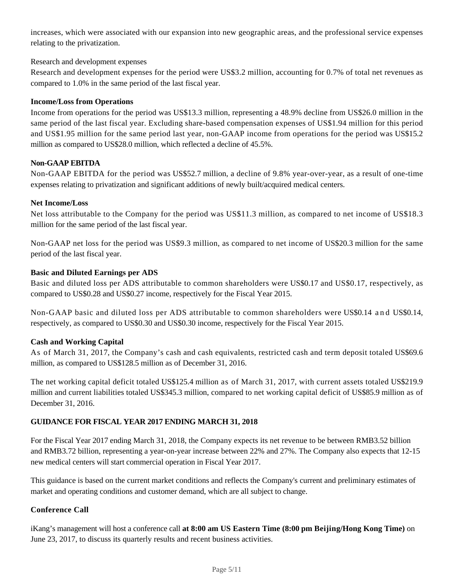increases, which were associated with our expansion into new geographic areas, and the professional service expenses relating to the privatization.

#### Research and development expenses

Research and development expenses for the period were US\$3.2 million, accounting for 0.7% of total net revenues as compared to 1.0% in the same period of the last fiscal year.

#### **Income/Loss from Operations**

Income from operations for the period was US\$13.3 million, representing a 48.9% decline from US\$26.0 million in the same period of the last fiscal year. Excluding share-based compensation expenses of US\$1.94 million for this period and US\$1.95 million for the same period last year, non-GAAP income from operations for the period was US\$15.2 million as compared to US\$28.0 million, which reflected a decline of 45.5%.

#### **Non-GAAP EBITDA**

Non-GAAP EBITDA for the period was US\$52.7 million, a decline of 9.8% year-over-year, as a result of one-time expenses relating to privatization and significant additions of newly built/acquired medical centers.

#### **Net Income/Loss**

Net loss attributable to the Company for the period was US\$11.3 million, as compared to net income of US\$18.3 million for the same period of the last fiscal year.

Non-GAAP net loss for the period was US\$9.3 million, as compared to net income of US\$20.3 million for the same period of the last fiscal year.

#### **Basic and Diluted Earnings per ADS**

Basic and diluted loss per ADS attributable to common shareholders were US\$0.17 and US\$0.17, respectively, as compared to US\$0.28 and US\$0.27 income, respectively for the Fiscal Year 2015.

Non-GAAP basic and diluted loss per ADS attributable to common shareholders were US\$0.14 and US\$0.14, respectively, as compared to US\$0.30 and US\$0.30 income, respectively for the Fiscal Year 2015.

## **Cash and Working Capital**

As of March 31, 2017, the Company's cash and cash equivalents, restricted cash and term deposit totaled US\$69.6 million, as compared to US\$128.5 million as of December 31, 2016.

The net working capital deficit totaled US\$125.4 million as of March 31, 2017, with current assets totaled US\$219.9 million and current liabilities totaled US\$345.3 million, compared to net working capital deficit of US\$85.9 million as of December 31, 2016.

## **GUIDANCE FOR FISCAL YEAR 2017 ENDING MARCH 31, 2018**

For the Fiscal Year 2017 ending March 31, 2018, the Company expects its net revenue to be between RMB3.52 billion and RMB3.72 billion, representing a year-on-year increase between 22% and 27%. The Company also expects that 12-15 new medical centers will start commercial operation in Fiscal Year 2017.

This guidance is based on the current market conditions and reflects the Company's current and preliminary estimates of market and operating conditions and customer demand, which are all subject to change.

## **Conference Call**

iKang's management will host a conference call **at 8:00 am US Eastern Time (8:00 pm Beijing/Hong Kong Time)** on June 23, 2017, to discuss its quarterly results and recent business activities.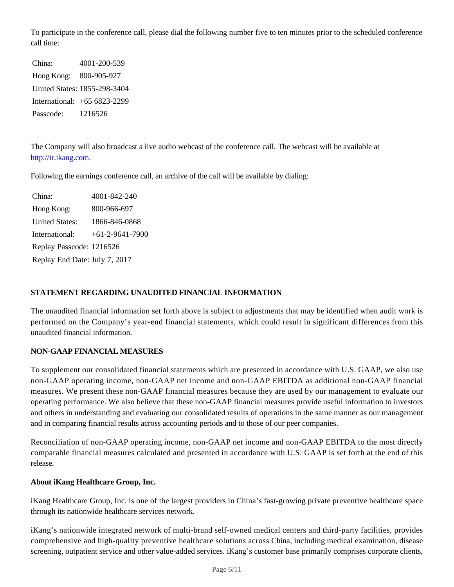To participate in the conference call, please dial the following number five to ten minutes prior to the scheduled conference call time:

China: 4001-200-539 Hong Kong: 800-905-927 United States: 1855-298-3404 International: +65 6823-2299 Passcode: 1216526

The Company will also broadcast a live audio webcast of the conference call. The webcast will be available at http://ir.ikang.com.

Following the earnings conference call, an archive of the call will be available by dialing:

China: 4001-842-240 Hong Kong: 800-966-697 United States: 1866-846-0868 International: +61-2-9641-7900 Replay Passcode: 1216526 Replay End Date: July 7, 2017

### **STATEMENT REGARDING UNAUDITED FINANCIAL INFORMATION**

The unaudited financial information set forth above is subject to adjustments that may be identified when audit work is performed on the Company's year-end financial statements, which could result in significant differences from this unaudited financial information.

## **NON-GAAP FINANCIAL MEASURES**

To supplement our consolidated financial statements which are presented in accordance with U.S. GAAP, we also use non-GAAP operating income, non-GAAP net income and non-GAAP EBITDA as additional non-GAAP financial measures. We present these non-GAAP financial measures because they are used by our management to evaluate our operating performance. We also believe that these non-GAAP financial measures provide useful information to investors and others in understanding and evaluating our consolidated results of operations in the same manner as our management and in comparing financial results across accounting periods and to those of our peer companies.

Reconciliation of non-GAAP operating income, non-GAAP net income and non-GAAP EBITDA to the most directly comparable financial measures calculated and presented in accordance with U.S. GAAP is set forth at the end of this release.

#### **About iKang Healthcare Group, Inc.**

iKang Healthcare Group, Inc. is one of the largest providers in China's fast-growing private preventive healthcare space through its nationwide healthcare services network.

iKang's nationwide integrated network of multi-brand self-owned medical centers and third-party facilities, provides comprehensive and high-quality preventive healthcare solutions across China, including medical examination, disease screening, outpatient service and other value-added services. iKang's customer base primarily comprises corporate clients,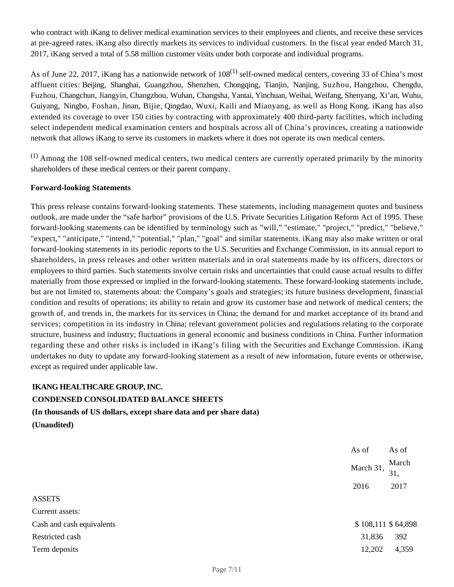who contract with iKang to deliver medical examination services to their employees and clients, and receive these services at pre-agreed rates. iKang also directly markets its services to individual customers. In the fiscal year ended March 31, 2017, iKang served a total of 5.58 million customer visits under both corporate and individual programs.

As of June 22, 2017, iKang has a nationwide network of  $108^{(1)}$  self-owned medical centers, covering 33 of China's most affluent cities: Beijing, Shanghai, Guangzhou, Shenzhen, Chongqing, Tianjin, Nanjing, Suzhou, Hangzhou, Chengdu, Fuzhou, Changchun, Jiangyin, Changzhou, Wuhan, Changsha, Yantai, Yinchuan, Weihai, Weifang, Shenyang, Xi'an, Wuhu, Guiyang, Ningbo, Foshan, Jinan, Bijie, Qingdao, Wuxi, Kaili and Mianyang, as well as Hong Kong. iKang has also extended its coverage to over 150 cities by contracting with approximately 400 third-party facilities, which including select independent medical examination centers and hospitals across all of China's provinces, creating a nationwide network that allows iKang to serve its customers in markets where it does not operate its own medical centers.

 $<sup>(1)</sup>$  Among the 108 self-owned medical centers, two medical centers are currently operated primarily by the minority</sup> shareholders of these medical centers or their parent company.

#### **Forward-looking Statements**

This press release contains forward-looking statements. These statements, including management quotes and business outlook, are made under the "safe harbor" provisions of the U.S. Private Securities Litigation Reform Act of 1995. These forward-looking statements can be identified by terminology such as "will," "estimate," "project," "predict," "believe," "expect," "anticipate," "intend," "potential," "plan," "goal" and similar statements. iKang may also make written or oral forward-looking statements in its periodic reports to the U.S. Securities and Exchange Commission, in its annual report to shareholders, in press releases and other written materials and in oral statements made by its officers, directors or employees to third parties. Such statements involve certain risks and uncertainties that could cause actual results to differ materially from those expressed or implied in the forward-looking statements. These forward-looking statements include, but are not limited to, statements about: the Company's goals and strategies; its future business development, financial condition and results of operations; its ability to retain and grow its customer base and network of medical centers; the growth of, and trends in, the markets for its services in China; the demand for and market acceptance of its brand and services; competition in its industry in China; relevant government policies and regulations relating to the corporate structure, business and industry; fluctuations in general economic and business conditions in China. Further information regarding these and other risks is included in iKang's filing with the Securities and Exchange Commission. iKang undertakes no duty to update any forward-looking statement as a result of new information, future events or otherwise, except as required under applicable law.

## **IKANG HEALTHCARE GROUP, INC. CONDENSED CONSOLIDATED BALANCE SHEETS**

## **(In thousands of US dollars, except share data and per share data)**

|                           | As of              | As of        |
|---------------------------|--------------------|--------------|
|                           | March 31,          | March<br>31, |
|                           | 2016               | 2017         |
| <b>ASSETS</b>             |                    |              |
| Current assets:           |                    |              |
| Cash and cash equivalents | \$108,111 \$64,898 |              |
| Restricted cash           | 31,836             | 392          |
| Term deposits             | 12,202             | 4,359        |
|                           |                    |              |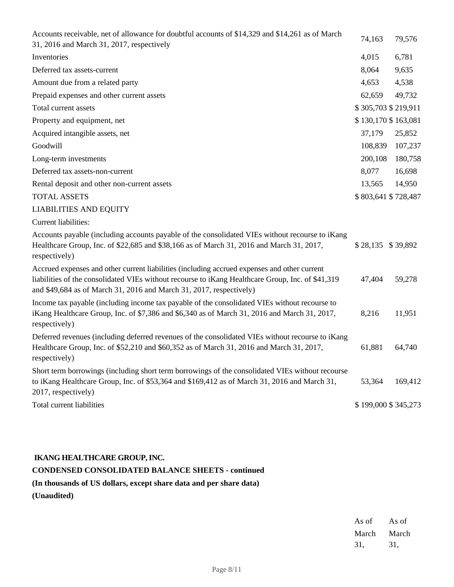| Accounts receivable, net of allowance for doubtful accounts of \$14,329 and \$14,261 as of March<br>31, 2016 and March 31, 2017, respectively                                                                                                                            | 74,163              | 79,576              |
|--------------------------------------------------------------------------------------------------------------------------------------------------------------------------------------------------------------------------------------------------------------------------|---------------------|---------------------|
| Inventories                                                                                                                                                                                                                                                              | 4,015               | 6,781               |
| Deferred tax assets-current                                                                                                                                                                                                                                              | 8,064               | 9,635               |
| Amount due from a related party                                                                                                                                                                                                                                          | 4,653               | 4,538               |
| Prepaid expenses and other current assets                                                                                                                                                                                                                                | 62,659              | 49,732              |
| Total current assets                                                                                                                                                                                                                                                     | \$305,703 \$219,911 |                     |
| Property and equipment, net                                                                                                                                                                                                                                              |                     | \$130,170 \$163,081 |
| Acquired intangible assets, net                                                                                                                                                                                                                                          | 37,179              | 25,852              |
| Goodwill                                                                                                                                                                                                                                                                 | 108,839             | 107,237             |
| Long-term investments                                                                                                                                                                                                                                                    | 200,108             | 180,758             |
| Deferred tax assets-non-current                                                                                                                                                                                                                                          | 8,077               | 16,698              |
| Rental deposit and other non-current assets                                                                                                                                                                                                                              | 13,565              | 14,950              |
| <b>TOTAL ASSETS</b>                                                                                                                                                                                                                                                      |                     | \$803,641 \$728,487 |
| <b>LIABILITIES AND EQUITY</b>                                                                                                                                                                                                                                            |                     |                     |
| Current liabilities:                                                                                                                                                                                                                                                     |                     |                     |
| Accounts payable (including accounts payable of the consolidated VIEs without recourse to iKang<br>Healthcare Group, Inc. of \$22,685 and \$38,166 as of March 31, 2016 and March 31, 2017,<br>respectively)                                                             | \$28,135 \$39,892   |                     |
| Accrued expenses and other current liabilities (including accrued expenses and other current<br>liabilities of the consolidated VIEs without recourse to iKang Healthcare Group, Inc. of \$41,319<br>and \$49,684 as of March 31, 2016 and March 31, 2017, respectively) | 47,404              | 59,278              |
| Income tax payable (including income tax payable of the consolidated VIEs without recourse to<br>iKang Healthcare Group, Inc. of \$7,386 and \$6,340 as of March 31, 2016 and March 31, 2017,<br>respectively)                                                           | 8,216               | 11,951              |
| Deferred revenues (including deferred revenues of the consolidated VIEs without recourse to iKang<br>Healthcare Group, Inc. of \$52,210 and \$60,352 as of March 31, 2016 and March 31, 2017,<br>respectively)                                                           | 61,881              | 64,740              |
| Short term borrowings (including short term borrowings of the consolidated VIEs without recourse<br>to iKang Healthcare Group, Inc. of \$53,364 and \$169,412 as of March 31, 2016 and March 31,<br>2017, respectively)                                                  | 53,364              | 169,412             |
| Total current liabilities                                                                                                                                                                                                                                                |                     | \$199,000 \$345,273 |

## **IKANG HEALTHCARE GROUP, INC.**

# **CONDENSED CONSOLIDATED BALANCE SHEETS - continued**

# **(In thousands of US dollars, except share data and per share data)**

| As of | As of |
|-------|-------|
| March | March |
| 31.   | 31.   |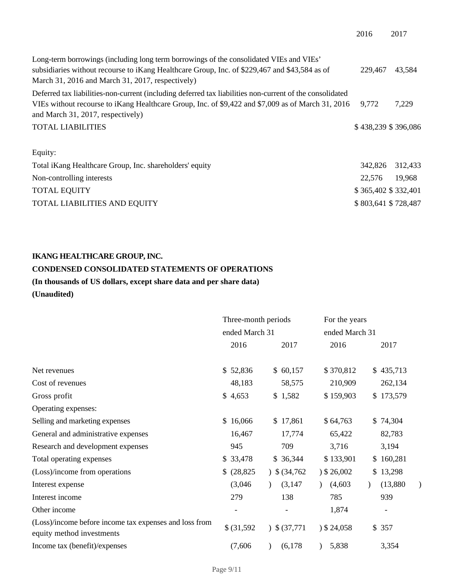| Long-term borrowings (including long term borrowings of the consolidated VIEs and VIEs'                  |                     |         |
|----------------------------------------------------------------------------------------------------------|---------------------|---------|
| subsidiaries without recourse to iKang Healthcare Group, Inc. of \$229,467 and \$43,584 as of            | 229.467             | 43,584  |
| March 31, 2016 and March 31, 2017, respectively)                                                         |                     |         |
| Deferred tax liabilities-non-current (including deferred tax liabilities non-current of the consolidated |                     |         |
| VIEs without recourse to iKang Healthcare Group, Inc. of \$9,422 and \$7,009 as of March 31, 2016 9,772  |                     | 7,229   |
| and March 31, 2017, respectively)                                                                        |                     |         |
| <b>TOTAL LIABILITIES</b>                                                                                 | \$438,239 \$396,086 |         |
|                                                                                                          |                     |         |
| Equity:                                                                                                  |                     |         |
| Total iKang Healthcare Group, Inc. shareholders' equity                                                  | 342,826             | 312,433 |
| Non-controlling interests                                                                                | 22,576              | 19,968  |
| <b>TOTAL EQUITY</b>                                                                                      | \$365,402 \$332,401 |         |

| TOTUL LOOTER                 | $V = 100,702,402,701$ |
|------------------------------|-----------------------|
| TOTAL LIABILITIES AND EQUITY | \$803,641 \$728,487   |

## **IKANG HEALTHCARE GROUP, INC.**

## **CONDENSED CONSOLIDATED STATEMENTS OF OPERATIONS**

# **(In thousands of US dollars, except share data and per share data)**

|             |             | For the years                         |           |                |  |
|-------------|-------------|---------------------------------------|-----------|----------------|--|
|             |             |                                       |           |                |  |
| 2016        | 2017        | 2016                                  | 2017      |                |  |
|             |             |                                       |           |                |  |
| \$52,836    | \$60,157    | \$370,812                             | \$435,713 |                |  |
| 48,183      | 58,575      | 210,909                               | 262,134   |                |  |
| \$4,653     | \$1,582     | \$159,903                             | \$173,579 |                |  |
|             |             |                                       |           |                |  |
| \$16,066    | \$17,861    | \$64,763                              | \$74,304  |                |  |
| 16,467      | 17,774      | 65,422                                | 82,783    |                |  |
| 945         | 709         | 3,716                                 | 3,194     |                |  |
| \$ 33,478   | \$36,344    | \$133,901                             | \$160,281 |                |  |
| \$ (28,825) | 34,762      | $)$ \$ 26,002                         | \$13,298  |                |  |
| (3,046)     | (3, 147)    | (4,603)                               | (13,880)  | )              |  |
| 279         | 138         | 785                                   | 939       |                |  |
|             |             | 1,874                                 | -         |                |  |
| \$ (31,592) | 3,5(37,771) | 324,058                               | \$357     |                |  |
| (7,606)     | (6,178)     | 5,838                                 | 3,354     |                |  |
|             |             | Three-month periods<br>ended March 31 |           | ended March 31 |  |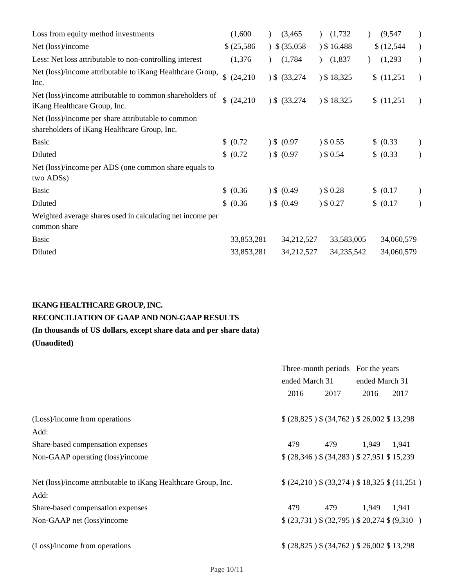| Loss from equity method investments                                                      | (1,600)        | $\lambda$ | (3, 465)        | (1,732)       | (9, 547)   |               |
|------------------------------------------------------------------------------------------|----------------|-----------|-----------------|---------------|------------|---------------|
| Net (loss)/income                                                                        | \$ (25,586)    |           | 35,058          | $)$ \$16,488  | \$(12,544) | $\mathcal{L}$ |
| Less: Net loss attributable to non-controlling interest                                  | (1,376)        |           | (1,784)         | (1,837)       | (1,293)    |               |
| Net (loss)/income attributable to iKang Healthcare Group,<br>Inc.                        | \$<br>(24,210) |           | 3,3,274         | $)$ \$ 18,325 | \$(11,251) | $\rightarrow$ |
| Net (loss)/income attributable to common shareholders of<br>iKang Healthcare Group, Inc. | (24,210)       |           | $)$ \$ (33,274) | 3518,325      | \$(11,251) | $\rightarrow$ |
| Net (loss)/income per share attributable to common                                       |                |           |                 |               |            |               |
| shareholders of iKang Healthcare Group, Inc.                                             |                |           |                 |               |            |               |
| <b>Basic</b>                                                                             | \$ (0.72)      |           | $)$ \$ (0.97    | ) \$0.55      | \$ (0.33)  |               |
| Diluted                                                                                  | \$ (0.72)      |           | $)$ \$ (0.97)   | ) \$0.54      | \$ (0.33)  |               |
| Net (loss)/income per ADS (one common share equals to<br>two ADSs)                       |                |           |                 |               |            |               |
| <b>Basic</b>                                                                             | \$ (0.36)      |           | $)$ \$ (0.49)   | ) \$0.28      | \$ (0.17)  |               |
| Diluted                                                                                  | \$ (0.36)      |           | $)$ \$ (0.49)   | ) \$0.27      | \$ (0.17)  |               |
| Weighted average shares used in calculating net income per<br>common share               |                |           |                 |               |            |               |
| <b>Basic</b>                                                                             | 33,853,281     |           | 34,212,527      | 33,583,005    | 34,060,579 |               |
| Diluted                                                                                  | 33,853,281     |           | 34,212,527      | 34, 235, 542  | 34,060,579 |               |

## **IKANG HEALTHCARE GROUP, INC.**

## **RECONCILIATION OF GAAP AND NON-GAAP RESULTS**

**(In thousands of US dollars, except share data and per share data)**

|                                                                |                |                                                 | Three-month periods For the years |                                                  |  |  |
|----------------------------------------------------------------|----------------|-------------------------------------------------|-----------------------------------|--------------------------------------------------|--|--|
|                                                                | ended March 31 |                                                 | ended March 31                    |                                                  |  |  |
|                                                                | 2016           | 2017                                            | 2016                              | 2017                                             |  |  |
| (Loss)/income from operations                                  |                | $$ (28,825)$ $$ (34,762)$ $$ 26,002$ $$ 13,298$ |                                   |                                                  |  |  |
| Add:                                                           |                |                                                 |                                   |                                                  |  |  |
| Share-based compensation expenses                              | 479            | 479                                             | 1,949                             | 1,941                                            |  |  |
| Non-GAAP operating (loss)/income                               |                | $$ (28,346)$ $$ (34,283)$ $$ 27,951$ $$ 15,239$ |                                   |                                                  |  |  |
| Net (loss)/income attributable to iKang Healthcare Group, Inc. |                |                                                 |                                   | $(24,210)$ \$ $(33,274)$ \$ 18,325 \$ $(11,251)$ |  |  |
| Add:                                                           |                |                                                 |                                   |                                                  |  |  |
| Share-based compensation expenses                              | 479            | 479                                             | 1,949                             | 1,941                                            |  |  |
| Non-GAAP net (loss)/income                                     |                |                                                 |                                   | $$(23,731) $(32,795) $(20,274 $(9,310))$         |  |  |
| (Loss)/income from operations                                  |                | $$(28,825)$ $$(34,762)$ $$(26,002$ $$(13,298)$  |                                   |                                                  |  |  |